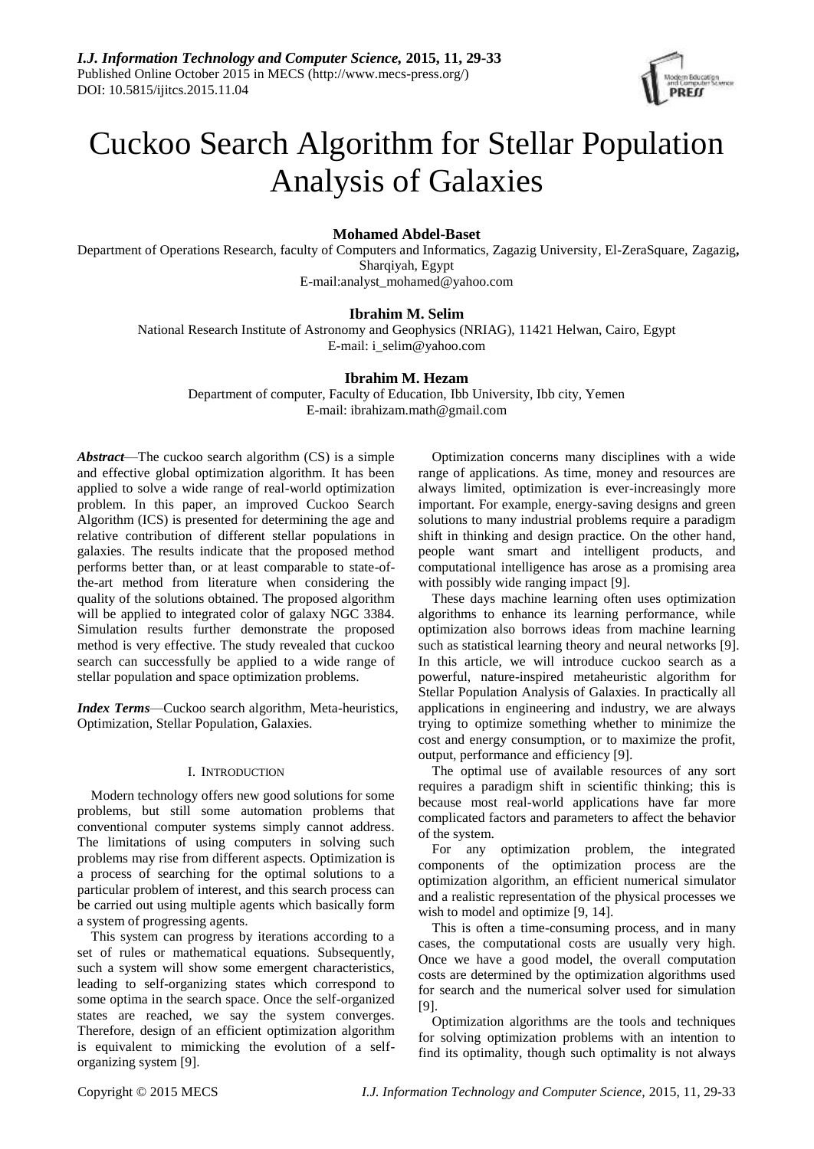

# Cuckoo Search Algorithm for Stellar Population Analysis of Galaxies

# **Mohamed Abdel-Baset**

Department of Operations Research, faculty of Computers and Informatics, Zagazig University, El-ZeraSquare, Zagazig**,** Sharqiyah, Egypt

E-mail:analyst\_mohamed@yahoo.com

## **Ibrahim M. Selim**

National Research Institute of Astronomy and Geophysics (NRIAG), 11421 Helwan, Cairo, Egypt E-mail: i\_selim@yahoo.com

# **Ibrahim M. Hezam**

Department of computer, Faculty of Education, Ibb University, Ibb city, Yemen E-mail: ibrahizam.math@gmail.com

*Abstract*—The cuckoo search algorithm (CS) is a simple and effective global optimization algorithm. It has been applied to solve a wide range of real-world optimization problem. In this paper, an improved Cuckoo Search Algorithm (ICS) is presented for determining the age and relative contribution of different stellar populations in galaxies. The results indicate that the proposed method performs better than, or at least comparable to state-ofthe-art method from literature when considering the quality of the solutions obtained. The proposed algorithm will be applied to integrated color of galaxy NGC 3384. Simulation results further demonstrate the proposed method is very effective. The study revealed that cuckoo search can successfully be applied to a wide range of stellar population and space optimization problems.

*Index Terms*—Cuckoo search algorithm, Meta-heuristics, Optimization, Stellar Population, Galaxies.

## I. INTRODUCTION

Modern technology offers new good solutions for some problems, but still some automation problems that conventional computer systems simply cannot address. The limitations of using computers in solving such problems may rise from different aspects. Optimization is a process of searching for the optimal solutions to a particular problem of interest, and this search process can be carried out using multiple agents which basically form a system of progressing agents.

This system can progress by iterations according to a set of rules or mathematical equations. Subsequently, such a system will show some emergent characteristics, leading to self-organizing states which correspond to some optima in the search space. Once the self-organized states are reached, we say the system converges. Therefore, design of an efficient optimization algorithm is equivalent to mimicking the evolution of a selforganizing system [9].

Optimization concerns many disciplines with a wide range of applications. As time, money and resources are always limited, optimization is ever-increasingly more important. For example, energy-saving designs and green solutions to many industrial problems require a paradigm shift in thinking and design practice. On the other hand, people want smart and intelligent products, and computational intelligence has arose as a promising area with possibly wide ranging impact [9].

These days machine learning often uses optimization algorithms to enhance its learning performance, while optimization also borrows ideas from machine learning such as statistical learning theory and neural networks [9]. In this article, we will introduce cuckoo search as a powerful, nature-inspired metaheuristic algorithm for Stellar Population Analysis of Galaxies. In practically all applications in engineering and industry, we are always trying to optimize something whether to minimize the cost and energy consumption, or to maximize the profit, output, performance and efficiency [9].

The optimal use of available resources of any sort requires a paradigm shift in scientific thinking; this is because most real-world applications have far more complicated factors and parameters to affect the behavior of the system.

For any optimization problem, the integrated components of the optimization process are the optimization algorithm, an efficient numerical simulator and a realistic representation of the physical processes we wish to model and optimize [9, 14].

This is often a time-consuming process, and in many cases, the computational costs are usually very high. Once we have a good model, the overall computation costs are determined by the optimization algorithms used for search and the numerical solver used for simulation [9].

Optimization algorithms are the tools and techniques for solving optimization problems with an intention to find its optimality, though such optimality is not always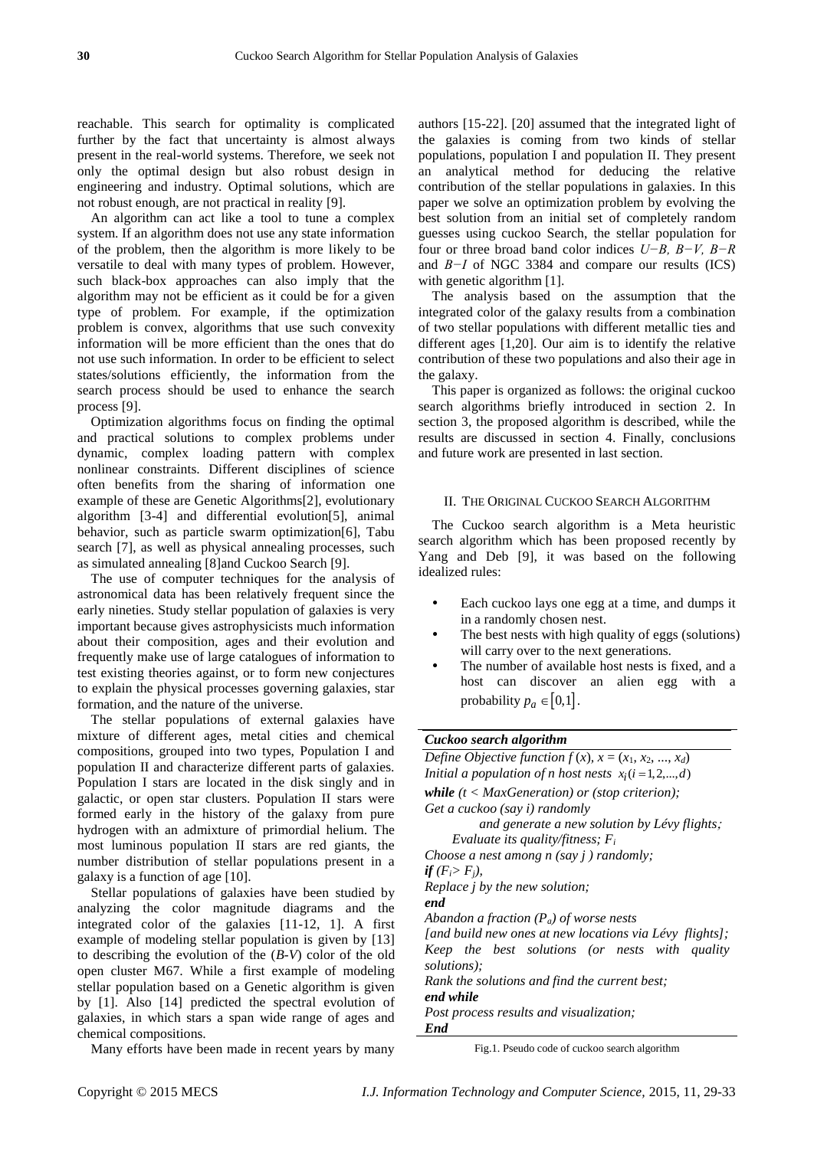reachable. This search for optimality is complicated further by the fact that uncertainty is almost always present in the real-world systems. Therefore, we seek not only the optimal design but also robust design in engineering and industry. Optimal solutions, which are not robust enough, are not practical in reality [9].

An algorithm can act like a tool to tune a complex system. If an algorithm does not use any state information of the problem, then the algorithm is more likely to be versatile to deal with many types of problem. However, such black-box approaches can also imply that the algorithm may not be efficient as it could be for a given type of problem. For example, if the optimization problem is convex, algorithms that use such convexity information will be more efficient than the ones that do not use such information. In order to be efficient to select states/solutions efficiently, the information from the search process should be used to enhance the search process [9].

Optimization algorithms focus on finding the optimal and practical solutions to complex problems under dynamic, complex loading pattern with complex nonlinear constraints. Different disciplines of science often benefits from the sharing of information one example of these are Genetic Algorithms[2], evolutionary algorithm [3-4] and differential evolution[5], animal behavior, such as particle swarm optimization[6], Tabu search [7], as well as physical annealing processes, such as simulated annealing [8]and Cuckoo Search [9].

The use of computer techniques for the analysis of astronomical data has been relatively frequent since the early nineties. Study stellar population of galaxies is very important because gives astrophysicists much information about their composition, ages and their evolution and frequently make use of large catalogues of information to test existing theories against, or to form new conjectures to explain the physical processes governing galaxies, star formation, and the nature of the universe.

The stellar populations of external galaxies have mixture of different ages, metal cities and chemical compositions, grouped into two types, Population I and population II and characterize different parts of galaxies. Population I stars are located in the disk singly and in galactic, or open star clusters. Population II stars were formed early in the history of the galaxy from pure hydrogen with an admixture of primordial helium. The most luminous population II stars are red giants, the number distribution of stellar populations present in a galaxy is a function of age [10].

Stellar populations of galaxies have been studied by analyzing the color magnitude diagrams and the integrated color of the galaxies [11-12, 1]. A first example of modeling stellar population is given by [13] to describing the evolution of the (*B-V*) color of the old open cluster M67. While a first example of modeling stellar population based on a Genetic algorithm is given by [1]. Also [14] predicted the spectral evolution of galaxies, in which stars a span wide range of ages and chemical compositions.

Many efforts have been made in recent years by many

authors [15-22]. [20] assumed that the integrated light of the galaxies is coming from two kinds of stellar populations, population I and population II. They present an analytical method for deducing the relative contribution of the stellar populations in galaxies. In this paper we solve an optimization problem by evolving the best solution from an initial set of completely random guesses using cuckoo Search, the stellar population for four or three broad band color indices *U−B, B−V, B−R*  and *B−I* of NGC 3384 and compare our results (ICS) with genetic algorithm [1].

The analysis based on the assumption that the integrated color of the galaxy results from a combination of two stellar populations with different metallic ties and different ages [1,20]. Our aim is to identify the relative contribution of these two populations and also their age in the galaxy.

This paper is organized as follows: the original cuckoo search algorithms briefly introduced in section 2. In section 3, the proposed algorithm is described, while the results are discussed in section 4. Finally, conclusions and future work are presented in last section.

### II. THE ORIGINAL CUCKOO SEARCH ALGORITHM

The Cuckoo search algorithm is a Meta heuristic search algorithm which has been proposed recently by Yang and Deb [9], it was based on the following idealized rules:

- Each cuckoo lays one egg at a time, and dumps it in a randomly chosen nest.
- The best nests with high quality of eggs (solutions) will carry over to the next generations.
- The number of available host nests is fixed, and a host can discover an alien egg with a probability  $p_a \in [0,1]$ .

# *Cuckoo search algorithm*

| Define Objective function $f(x)$ , $x = (x_1, x_2, , x_d)$ |
|------------------------------------------------------------|
| Initial a population of n host nests $x_i$ (i = 1, 2, , d) |
| while $(t < \text{MaxGeneration})$ or (stop criterion);    |
| Get a cuckoo (say i) randomly                              |
| and generate a new solution by $L \text{\'{e}vy}$ flights; |
| Evaluate its quality/fitness; $F_i$                        |
| Choose a nest among $n$ (say $j$ ) randomly;               |
| if $(F_i > F_i)$ ,                                         |
| Replace <i>j</i> by the new solution;                      |
| end                                                        |
| Abandon a fraction $(P_a)$ of worse nests                  |
| [and build new ones at new locations via Lévy flights];    |
| Keep the best solutions (or nests with quality             |
| solutions);                                                |
| Rank the solutions and find the current best;              |
| end while                                                  |
| Post process results and visualization;                    |
| End                                                        |
|                                                            |

Fig.1. Pseudo code of cuckoo search algorithm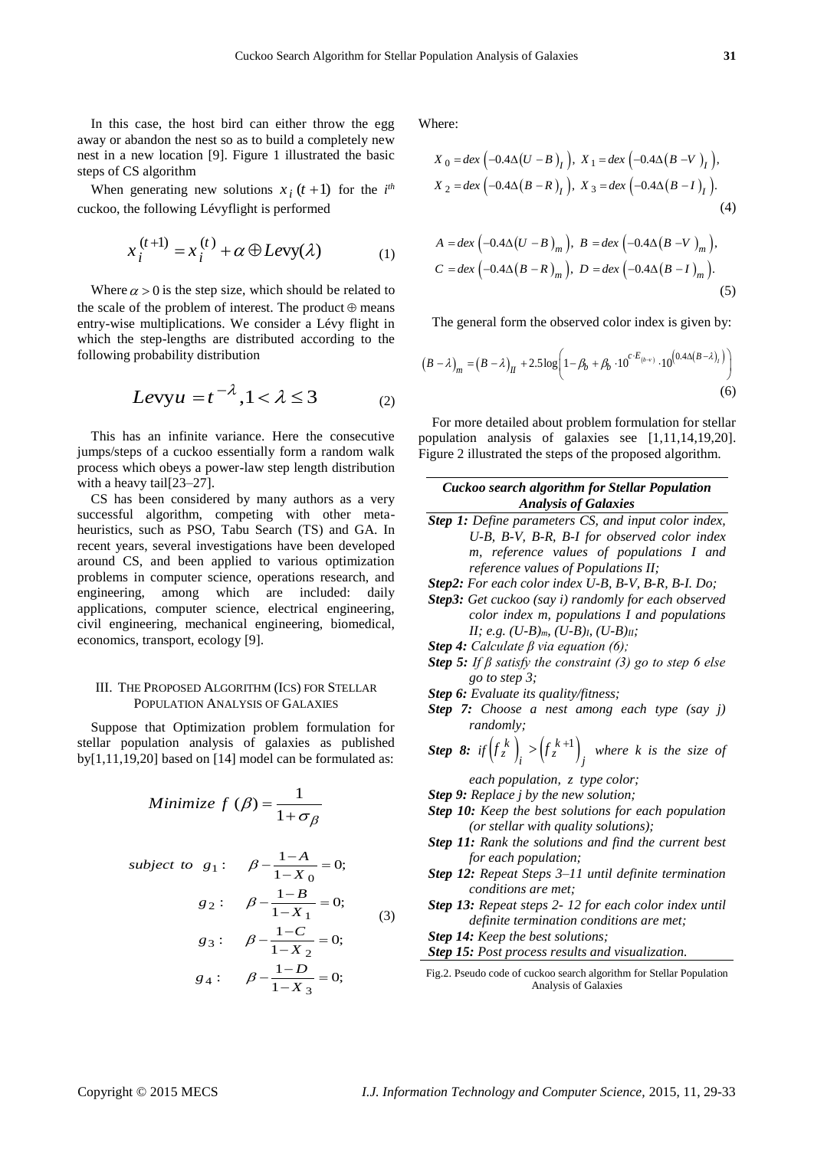In this case, the host bird can either throw the egg away or abandon the nest so as to build a completely new nest in a new location [9]. Figure 1 illustrated the basic steps of CS algorithm

When generating new solutions  $x_i(t+1)$  for the  $i^{th}$ cuckoo, the following Lévyflight is performed

$$
x_i^{(t+1)} = x_i^{(t)} + \alpha \oplus L \text{evy}(\lambda)
$$
 (1)

Where  $\alpha > 0$  is the step size, which should be related to the scale of the problem of interest. The product  $\oplus$  means entry-wise multiplications. We consider a Lévy flight in which the step-lengths are distributed according to the following probability distribution

$$
Levyu = t^{-\lambda}, 1 < \lambda \le 3 \tag{2}
$$

This has an infinite variance. Here the consecutive jumps/steps of a cuckoo essentially form a random walk process which obeys a power-law step length distribution with a heavy tail[23–27].

CS has been considered by many authors as a very successful algorithm, competing with other metaheuristics, such as PSO, Tabu Search (TS) and GA. In recent years, several investigations have been developed around CS, and been applied to various optimization problems in computer science, operations research, and engineering, among which are included: daily applications, computer science, electrical engineering, civil engineering, mechanical engineering, biomedical, economics, transport, ecology [9].

#### III. THE PROPOSED ALGORITHM (ICS) FOR STELLAR POPULATION ANALYSIS OF GALAXIES

Suppose that Optimization problem formulation for stellar population analysis of galaxies as published by[1,11,19,20] based on [14] model can be formulated as:

Minimize 
$$
f(\beta) = \frac{1}{1 + \sigma_{\beta}}
$$

subject to 
$$
g_1
$$
:  $\beta - \frac{1-A}{1-X_0} = 0;$   
\n $g_2$ :  $\beta - \frac{1-B}{1-X_1} = 0;$   
\n $g_3$ :  $\beta - \frac{1-C}{1-X_2} = 0;$   
\n $g_4$ :  $\beta - \frac{1-D}{1-X_3} = 0;$  (3)

Where:

$$
X_0 = \text{dex} \left( -0.4 \Delta (U - B)_I \right), \ X_1 = \text{dex} \left( -0.4 \Delta (B - V)_I \right),
$$
  

$$
X_2 = \text{dex} \left( -0.4 \Delta (B - R)_I \right), \ X_3 = \text{dex} \left( -0.4 \Delta (B - I)_I \right).
$$
  
(4)

$$
A = \text{dex} \left( -0.4 \Delta (U - B)_{m} \right), B = \text{dex} \left( -0.4 \Delta (B - V)_{m} \right),
$$
  

$$
C = \text{dex} \left( -0.4 \Delta (B - R)_{m} \right), D = \text{dex} \left( -0.4 \Delta (B - I)_{m} \right).
$$
  
(5)

The general form the observed color index is given by:

The general form the observed color index is given by:  
\n
$$
(B - \lambda)_m = (B - \lambda)_H + 2.5 \log \left( 1 - \beta_b + \beta_b \cdot 10^{c \cdot E_{(b-\nu)}} \cdot 10^{(0.4 \Delta (B - \lambda)_l)} \right)
$$
\n(6)

For more detailed about problem formulation for stellar population analysis of galaxies see [1,11,14,19,20]. Figure 2 illustrated the steps of the proposed algorithm.

*Cuckoo search algorithm for Stellar Population Analysis of Galaxies*

*Step 1: Define parameters CS, and input color index, U-B, B-V, B-R, B-I for observed color index m, reference values of populations I and reference values of Populations II;*

*Step2: For each color index U-B, B-V, B-R, B-I. Do;* 

- *Step3: Get cuckoo (say i) randomly for each observed color index m, populations I and populations II; e.g. (U-B)m, (U-B)I, (U-B)II;*
- *Step 4: Calculate β via equation (6);*
- *Step 5: If β satisfy the constraint (3) go to step 6 else go to step 3;*
- *Step 6: Evaluate its quality/fitness;*
- *Step 7: Choose a nest among each type (say j) randomly;*

**Step 8:** if 
$$
\left(f_z^k\right)_i > \left(f_z^{k+1}\right)_j
$$
 where k is the size of

*each population, z type color;*

- *Step 9: Replace j by the new solution;*
- *Step 10: Keep the best solutions for each population (or stellar with quality solutions);*
- *Step 11: Rank the solutions and find the current best for each population;*
- *Step 12: Repeat Steps 3–11 until definite termination conditions are met;*
- *Step 13: Repeat steps 2- 12 for each color index until definite termination conditions are met;*

*Step 14: Keep the best solutions;*

*Step 15: Post process results and visualization.*

Fig.2. Pseudo code of cuckoo search algorithm for Stellar Population Analysis of Galaxies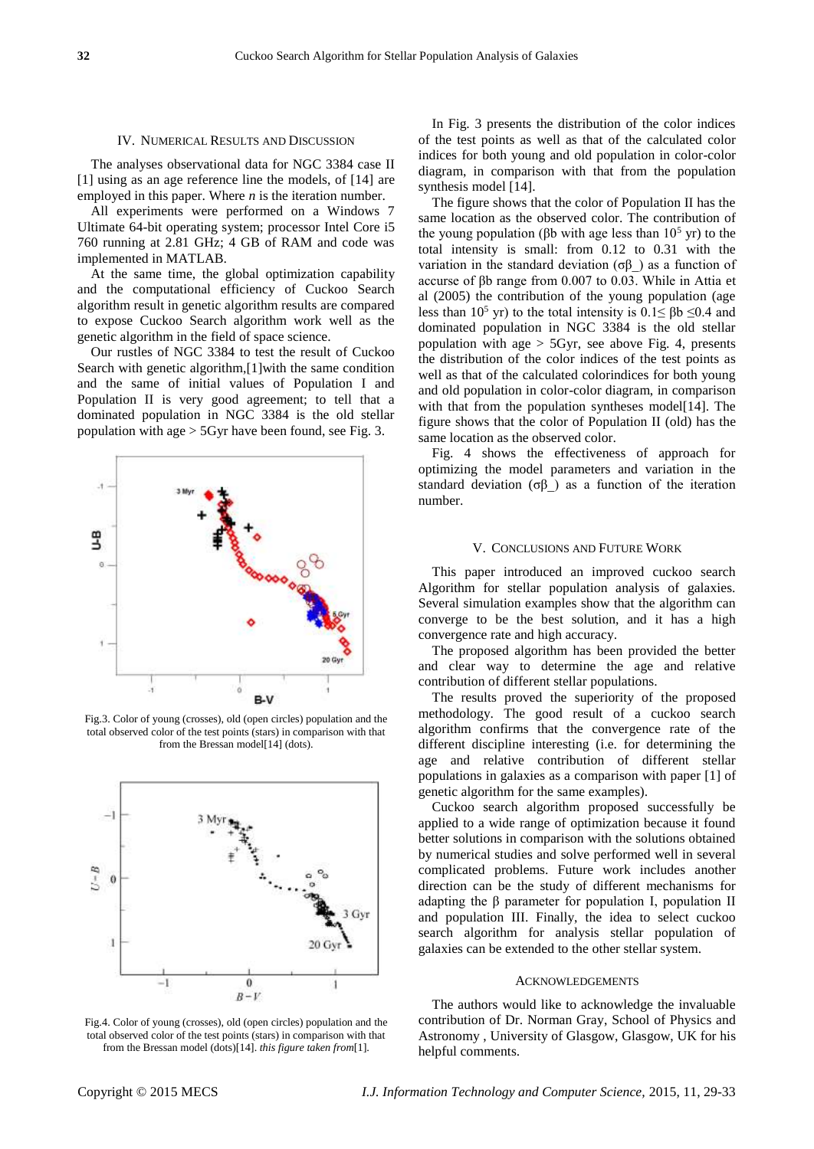#### IV. NUMERICAL RESULTS AND DISCUSSION

The analyses observational data for NGC 3384 case II [1] using as an age reference line the models, of [14] are employed in this paper. Where *n* is the iteration number.

All experiments were performed on a Windows 7 Ultimate 64-bit operating system; processor Intel Core i5 760 running at 2.81 GHz; 4 GB of RAM and code was implemented in MATLAB.

At the same time, the global optimization capability and the computational efficiency of Cuckoo Search algorithm result in genetic algorithm results are compared to expose Cuckoo Search algorithm work well as the genetic algorithm in the field of space science.

Our rustles of NGC 3384 to test the result of Cuckoo Search with genetic algorithm,[1]with the same condition and the same of initial values of Population I and Population II is very good agreement; to tell that a dominated population in NGC 3384 is the old stellar population with age > 5Gyr have been found, see Fig. 3.



Fig.3. Color of young (crosses), old (open circles) population and the total observed color of the test points (stars) in comparison with that from the Bressan model[14] (dots).



Fig.4. Color of young (crosses), old (open circles) population and the total observed color of the test points (stars) in comparison with that from the Bressan model (dots)[14]. *this figure taken from*[1].

In Fig. 3 presents the distribution of the color indices of the test points as well as that of the calculated color indices for both young and old population in color-color diagram, in comparison with that from the population synthesis model [14].

The figure shows that the color of Population II has the same location as the observed color. The contribution of the young population (βb with age less than  $10<sup>5</sup>$  yr) to the total intensity is small: from 0.12 to 0.31 with the variation in the standard deviation ( $\sigma\beta$ ) as a function of accurse of βb range from 0.007 to 0.03. While in Attia et al (2005) the contribution of the young population (age less than 10<sup>5</sup> yr) to the total intensity is  $0.1 \leq \beta b \leq 0.4$  and dominated population in NGC 3384 is the old stellar population with age  $>$  5Gyr, see above Fig. 4, presents the distribution of the color indices of the test points as well as that of the calculated colorindices for both young and old population in color-color diagram, in comparison with that from the population syntheses model[14]. The figure shows that the color of Population II (old) has the same location as the observed color.

Fig. 4 shows the effectiveness of approach for optimizing the model parameters and variation in the standard deviation (σ $\beta$ ) as a function of the iteration number.

#### V. CONCLUSIONS AND FUTURE WORK

This paper introduced an improved cuckoo search Algorithm for stellar population analysis of galaxies. Several simulation examples show that the algorithm can converge to be the best solution, and it has a high convergence rate and high accuracy.

The proposed algorithm has been provided the better and clear way to determine the age and relative contribution of different stellar populations.

The results proved the superiority of the proposed methodology. The good result of a cuckoo search algorithm confirms that the convergence rate of the different discipline interesting (i.e. for determining the age and relative contribution of different stellar populations in galaxies as a comparison with paper [1] of genetic algorithm for the same examples).

Cuckoo search algorithm proposed successfully be applied to a wide range of optimization because it found better solutions in comparison with the solutions obtained by numerical studies and solve performed well in several complicated problems. Future work includes another direction can be the study of different mechanisms for adapting the β parameter for population I, population II and population III. Finally, the idea to select cuckoo search algorithm for analysis stellar population of galaxies can be extended to the other stellar system.

#### ACKNOWLEDGEMENTS

The authors would like to acknowledge the invaluable contribution of Dr. Norman Gray, [School of Physics and](http://www.physics.gla.ac.uk/)  [Astronomy](http://www.physics.gla.ac.uk/) , [University of Glasgow,](http://www.gla.ac.uk/) Glasgow, UK for his helpful comments.